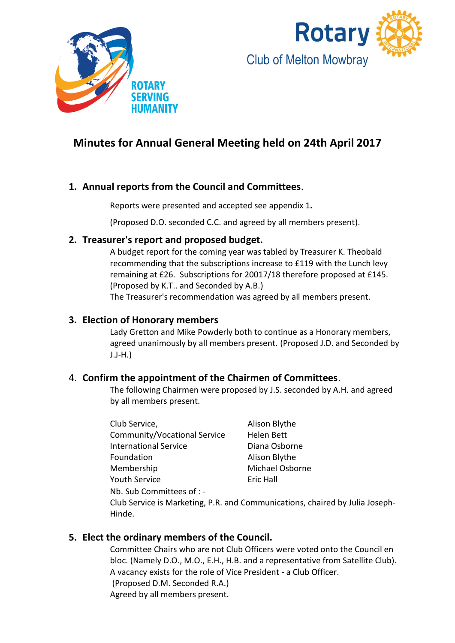



# **Minutes for Annual General Meeting held on 24th April 2017**

## **1. Annual reports from the Council and Committees**.

Reports were presented and accepted see appendix 1**.**

(Proposed D.O. seconded C.C. and agreed by all members present).

### **2. Treasurer's report and proposed budget.**

A budget report for the coming year was tabled by Treasurer K. Theobald recommending that the subscriptions increase to £119 with the Lunch levy remaining at £26. Subscriptions for 20017/18 therefore proposed at £145. (Proposed by K.T.. and Seconded by A.B.) The Treasurer's recommendation was agreed by all members present.

## **3. Election of Honorary members**

Lady Gretton and Mike Powderly both to continue as a Honorary members, agreed unanimously by all members present. (Proposed J.D. and Seconded by J.J-H.)

## 4. **Confirm the appointment of the Chairmen of Committees**.

The following Chairmen were proposed by J.S. seconded by A.H. and agreed by all members present.

| Club Service,                | Alison Blythe   |
|------------------------------|-----------------|
| Community/Vocational Service | Helen Bett      |
| <b>International Service</b> | Diana Osborne   |
| Foundation                   | Alison Blythe   |
| Membership                   | Michael Osborne |
| <b>Youth Service</b>         | Eric Hall       |
| Nb. Sub Committees of : -    |                 |

Club Service is Marketing, P.R. and Communications, chaired by Julia Joseph-Hinde.

## **5. Elect the ordinary members of the Council.**

Committee Chairs who are not Club Officers were voted onto the Council en bloc. (Namely D.O., M.O., E.H., H.B. and a representative from Satellite Club). A vacancy exists for the role of Vice President - a Club Officer. (Proposed D.M. Seconded R.A.) Agreed by all members present.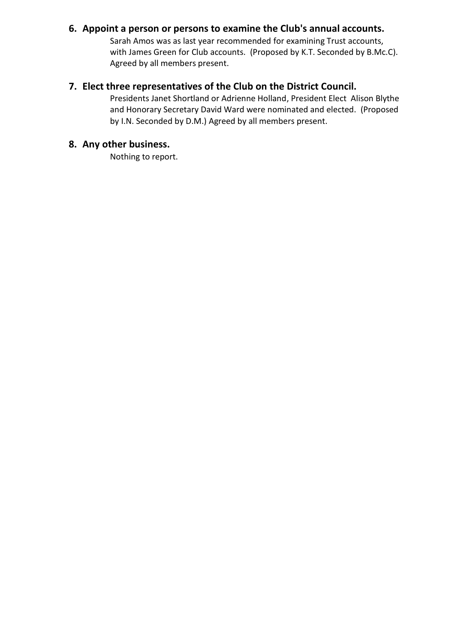## **6. Appoint a person or persons to examine the Club's annual accounts.**

Sarah Amos was as last year recommended for examining Trust accounts, with James Green for Club accounts. (Proposed by K.T. Seconded by B.Mc.C). Agreed by all members present.

## **7. Elect three representatives of the Club on the District Council.**

Presidents Janet Shortland or Adrienne Holland, President Elect Alison Blythe and Honorary Secretary David Ward were nominated and elected. (Proposed by I.N. Seconded by D.M.) Agreed by all members present.

## **8. Any other business.**

Nothing to report.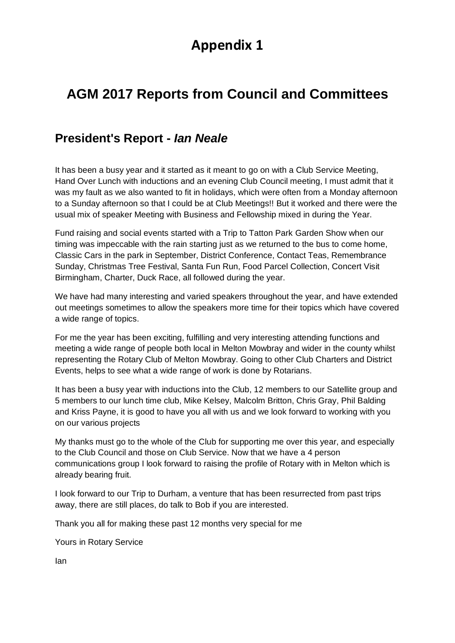# **Appendix 1**

# **AGM 2017 Reports from Council and Committees**

# **President's Report -** *Ian Neale*

It has been a busy year and it started as it meant to go on with a Club Service Meeting, Hand Over Lunch with inductions and an evening Club Council meeting, I must admit that it was my fault as we also wanted to fit in holidays, which were often from a Monday afternoon to a Sunday afternoon so that I could be at Club Meetings!! But it worked and there were the usual mix of speaker Meeting with Business and Fellowship mixed in during the Year.

Fund raising and social events started with a Trip to Tatton Park Garden Show when our timing was impeccable with the rain starting just as we returned to the bus to come home, Classic Cars in the park in September, District Conference, Contact Teas, Remembrance Sunday, Christmas Tree Festival, Santa Fun Run, Food Parcel Collection, Concert Visit Birmingham, Charter, Duck Race, all followed during the year.

We have had many interesting and varied speakers throughout the year, and have extended out meetings sometimes to allow the speakers more time for their topics which have covered a wide range of topics.

For me the year has been exciting, fulfilling and very interesting attending functions and meeting a wide range of people both local in Melton Mowbray and wider in the county whilst representing the Rotary Club of Melton Mowbray. Going to other Club Charters and District Events, helps to see what a wide range of work is done by Rotarians.

It has been a busy year with inductions into the Club, 12 members to our Satellite group and 5 members to our lunch time club, Mike Kelsey, Malcolm Britton, Chris Gray, Phil Balding and Kriss Payne, it is good to have you all with us and we look forward to working with you on our various projects

My thanks must go to the whole of the Club for supporting me over this year, and especially to the Club Council and those on Club Service. Now that we have a 4 person communications group I look forward to raising the profile of Rotary with in Melton which is already bearing fruit.

I look forward to our Trip to Durham, a venture that has been resurrected from past trips away, there are still places, do talk to Bob if you are interested.

Thank you all for making these past 12 months very special for me

Yours in Rotary Service

Ian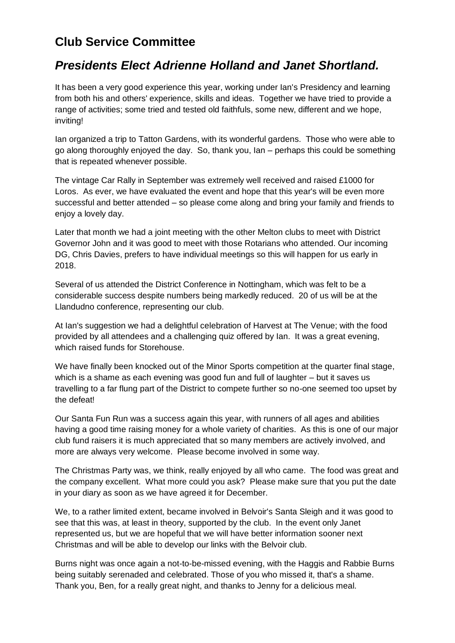# **Club Service Committee**

# *Presidents Elect Adrienne Holland and Janet Shortland.*

It has been a very good experience this year, working under Ian's Presidency and learning from both his and others' experience, skills and ideas. Together we have tried to provide a range of activities; some tried and tested old faithfuls, some new, different and we hope, inviting!

Ian organized a trip to Tatton Gardens, with its wonderful gardens. Those who were able to go along thoroughly enjoyed the day. So, thank you, Ian – perhaps this could be something that is repeated whenever possible.

The vintage Car Rally in September was extremely well received and raised £1000 for Loros. As ever, we have evaluated the event and hope that this year's will be even more successful and better attended – so please come along and bring your family and friends to enjoy a lovely day.

Later that month we had a joint meeting with the other Melton clubs to meet with District Governor John and it was good to meet with those Rotarians who attended. Our incoming DG, Chris Davies, prefers to have individual meetings so this will happen for us early in 2018.

Several of us attended the District Conference in Nottingham, which was felt to be a considerable success despite numbers being markedly reduced. 20 of us will be at the Llandudno conference, representing our club.

At Ian's suggestion we had a delightful celebration of Harvest at The Venue; with the food provided by all attendees and a challenging quiz offered by Ian. It was a great evening, which raised funds for Storehouse.

We have finally been knocked out of the Minor Sports competition at the quarter final stage, which is a shame as each evening was good fun and full of laughter – but it saves us travelling to a far flung part of the District to compete further so no-one seemed too upset by the defeat!

Our Santa Fun Run was a success again this year, with runners of all ages and abilities having a good time raising money for a whole variety of charities. As this is one of our major club fund raisers it is much appreciated that so many members are actively involved, and more are always very welcome. Please become involved in some way.

The Christmas Party was, we think, really enjoyed by all who came. The food was great and the company excellent. What more could you ask? Please make sure that you put the date in your diary as soon as we have agreed it for December.

We, to a rather limited extent, became involved in Belvoir's Santa Sleigh and it was good to see that this was, at least in theory, supported by the club. In the event only Janet represented us, but we are hopeful that we will have better information sooner next Christmas and will be able to develop our links with the Belvoir club.

Burns night was once again a not-to-be-missed evening, with the Haggis and Rabbie Burns being suitably serenaded and celebrated. Those of you who missed it, that's a shame. Thank you, Ben, for a really great night, and thanks to Jenny for a delicious meal.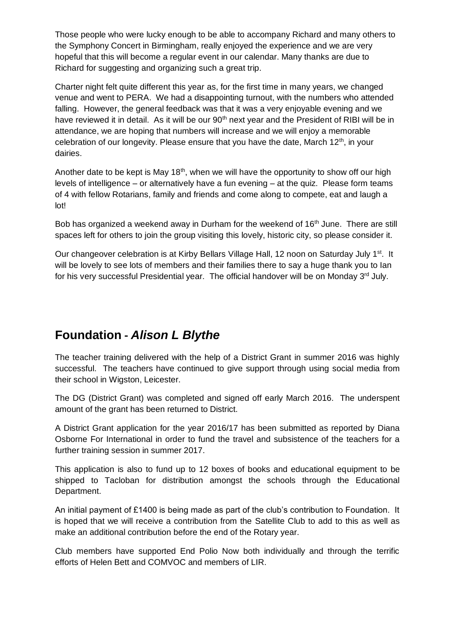Those people who were lucky enough to be able to accompany Richard and many others to the Symphony Concert in Birmingham, really enjoyed the experience and we are very hopeful that this will become a regular event in our calendar. Many thanks are due to Richard for suggesting and organizing such a great trip.

Charter night felt quite different this year as, for the first time in many years, we changed venue and went to PERA. We had a disappointing turnout, with the numbers who attended falling. However, the general feedback was that it was a very enjoyable evening and we have reviewed it in detail. As it will be our 90<sup>th</sup> next year and the President of RIBI will be in attendance, we are hoping that numbers will increase and we will enjoy a memorable celebration of our longevity. Please ensure that you have the date, March  $12<sup>th</sup>$ , in your dairies.

Another date to be kept is May 18<sup>th</sup>, when we will have the opportunity to show off our high levels of intelligence – or alternatively have a fun evening – at the quiz. Please form teams of 4 with fellow Rotarians, family and friends and come along to compete, eat and laugh a lot!

Bob has organized a weekend away in Durham for the weekend of 16<sup>th</sup> June. There are still spaces left for others to join the group visiting this lovely, historic city, so please consider it.

Our changeover celebration is at Kirby Bellars Village Hall, 12 noon on Saturday July 1<sup>st</sup>. It will be lovely to see lots of members and their families there to say a huge thank you to Ian for his very successful Presidential year. The official handover will be on Monday 3<sup>rd</sup> July.

# **Foundation -** *Alison L Blythe*

The teacher training delivered with the help of a District Grant in summer 2016 was highly successful. The teachers have continued to give support through using social media from their school in Wigston, Leicester.

The DG (District Grant) was completed and signed off early March 2016. The underspent amount of the grant has been returned to District.

A District Grant application for the year 2016/17 has been submitted as reported by Diana Osborne For International in order to fund the travel and subsistence of the teachers for a further training session in summer 2017.

This application is also to fund up to 12 boxes of books and educational equipment to be shipped to Tacloban for distribution amongst the schools through the Educational Department.

An initial payment of £1400 is being made as part of the club's contribution to Foundation. It is hoped that we will receive a contribution from the Satellite Club to add to this as well as make an additional contribution before the end of the Rotary year.

Club members have supported End Polio Now both individually and through the terrific efforts of Helen Bett and COMVOC and members of LIR.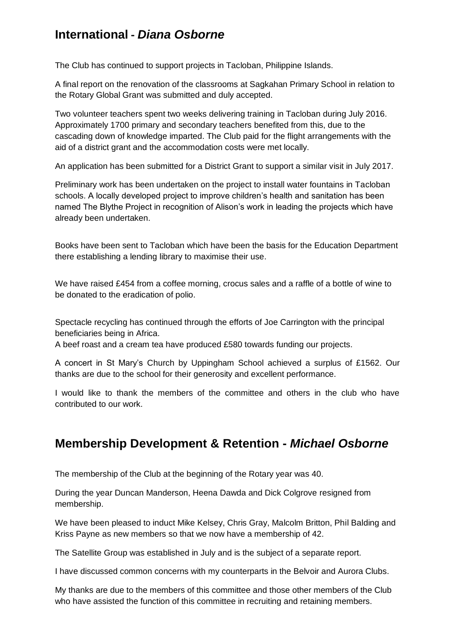# **International -** *Diana Osborne*

The Club has continued to support projects in Tacloban, Philippine Islands.

A final report on the renovation of the classrooms at Sagkahan Primary School in relation to the Rotary Global Grant was submitted and duly accepted.

Two volunteer teachers spent two weeks delivering training in Tacloban during July 2016. Approximately 1700 primary and secondary teachers benefited from this, due to the cascading down of knowledge imparted. The Club paid for the flight arrangements with the aid of a district grant and the accommodation costs were met locally.

An application has been submitted for a District Grant to support a similar visit in July 2017.

Preliminary work has been undertaken on the project to install water fountains in Tacloban schools. A locally developed project to improve children's health and sanitation has been named The Blythe Project in recognition of Alison's work in leading the projects which have already been undertaken.

Books have been sent to Tacloban which have been the basis for the Education Department there establishing a lending library to maximise their use.

We have raised £454 from a coffee morning, crocus sales and a raffle of a bottle of wine to be donated to the eradication of polio.

Spectacle recycling has continued through the efforts of Joe Carrington with the principal beneficiaries being in Africa.

A beef roast and a cream tea have produced £580 towards funding our projects.

A concert in St Mary's Church by Uppingham School achieved a surplus of £1562. Our thanks are due to the school for their generosity and excellent performance.

I would like to thank the members of the committee and others in the club who have contributed to our work.

## **Membership Development & Retention -** *Michael Osborne*

The membership of the Club at the beginning of the Rotary year was 40.

During the year Duncan Manderson, Heena Dawda and Dick Colgrove resigned from membership.

We have been pleased to induct Mike Kelsey, Chris Gray, Malcolm Britton, Phil Balding and Kriss Payne as new members so that we now have a membership of 42.

The Satellite Group was established in July and is the subject of a separate report.

I have discussed common concerns with my counterparts in the Belvoir and Aurora Clubs.

My thanks are due to the members of this committee and those other members of the Club who have assisted the function of this committee in recruiting and retaining members.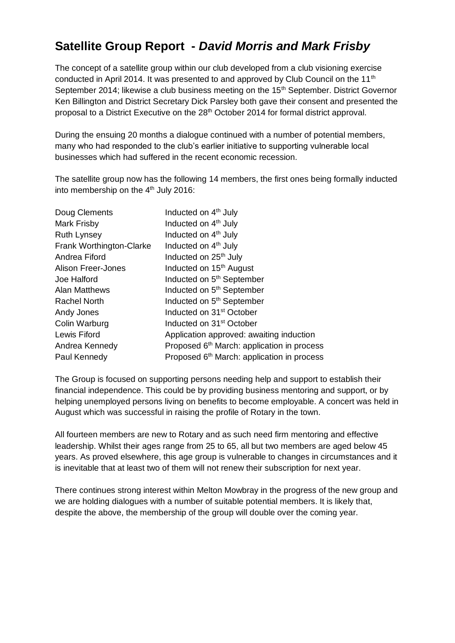# **Satellite Group Report -** *David Morris and Mark Frisby*

The concept of a satellite group within our club developed from a club visioning exercise conducted in April 2014. It was presented to and approved by Club Council on the 11<sup>th</sup> September 2014; likewise a club business meeting on the 15<sup>th</sup> September. District Governor Ken Billington and District Secretary Dick Parsley both gave their consent and presented the proposal to a District Executive on the 28<sup>th</sup> October 2014 for formal district approval.

During the ensuing 20 months a dialogue continued with a number of potential members, many who had responded to the club's earlier initiative to supporting vulnerable local businesses which had suffered in the recent economic recession.

The satellite group now has the following 14 members, the first ones being formally inducted into membership on the 4<sup>th</sup> July 2016:

| Doug Clements            | Inducted on 4 <sup>th</sup> July                       |
|--------------------------|--------------------------------------------------------|
| Mark Frisby              | Inducted on 4 <sup>th</sup> July                       |
| <b>Ruth Lynsey</b>       | Inducted on 4 <sup>th</sup> July                       |
| Frank Worthington-Clarke | Inducted on 4 <sup>th</sup> July                       |
| Andrea Fiford            | Inducted on 25 <sup>th</sup> July                      |
| Alison Freer-Jones       | Inducted on 15 <sup>th</sup> August                    |
| <b>Joe Halford</b>       | Inducted on 5 <sup>th</sup> September                  |
| <b>Alan Matthews</b>     | Inducted on 5 <sup>th</sup> September                  |
| <b>Rachel North</b>      | Inducted on 5 <sup>th</sup> September                  |
| Andy Jones               | Inducted on 31 <sup>st</sup> October                   |
| Colin Warburg            | Inducted on 31 <sup>st</sup> October                   |
| Lewis Fiford             | Application approved: awaiting induction               |
| Andrea Kennedy           | Proposed 6 <sup>th</sup> March: application in process |
| Paul Kennedy             | Proposed 6 <sup>th</sup> March: application in process |
|                          |                                                        |

The Group is focused on supporting persons needing help and support to establish their financial independence. This could be by providing business mentoring and support, or by helping unemployed persons living on benefits to become employable. A concert was held in August which was successful in raising the profile of Rotary in the town.

All fourteen members are new to Rotary and as such need firm mentoring and effective leadership. Whilst their ages range from 25 to 65, all but two members are aged below 45 years. As proved elsewhere, this age group is vulnerable to changes in circumstances and it is inevitable that at least two of them will not renew their subscription for next year.

There continues strong interest within Melton Mowbray in the progress of the new group and we are holding dialogues with a number of suitable potential members. It is likely that, despite the above, the membership of the group will double over the coming year.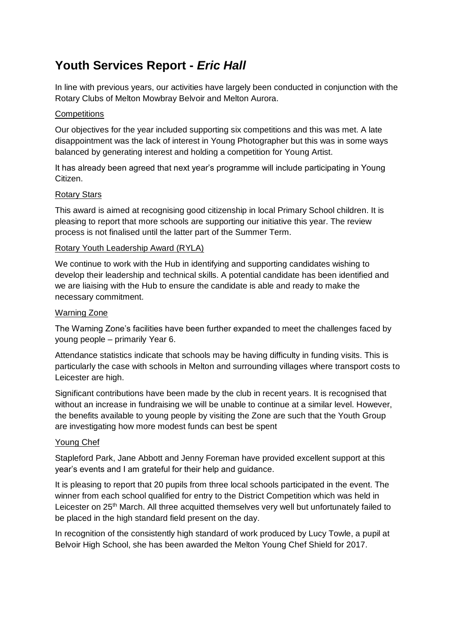# **Youth Services Report -** *Eric Hall*

In line with previous years, our activities have largely been conducted in conjunction with the Rotary Clubs of Melton Mowbray Belvoir and Melton Aurora.

#### **Competitions**

Our objectives for the year included supporting six competitions and this was met. A late disappointment was the lack of interest in Young Photographer but this was in some ways balanced by generating interest and holding a competition for Young Artist.

It has already been agreed that next year's programme will include participating in Young Citizen.

#### Rotary Stars

This award is aimed at recognising good citizenship in local Primary School children. It is pleasing to report that more schools are supporting our initiative this year. The review process is not finalised until the latter part of the Summer Term.

#### Rotary Youth Leadership Award (RYLA)

We continue to work with the Hub in identifying and supporting candidates wishing to develop their leadership and technical skills. A potential candidate has been identified and we are liaising with the Hub to ensure the candidate is able and ready to make the necessary commitment.

#### Warning Zone

The Warning Zone's facilities have been further expanded to meet the challenges faced by young people – primarily Year 6.

Attendance statistics indicate that schools may be having difficulty in funding visits. This is particularly the case with schools in Melton and surrounding villages where transport costs to Leicester are high.

Significant contributions have been made by the club in recent years. It is recognised that without an increase in fundraising we will be unable to continue at a similar level. However, the benefits available to young people by visiting the Zone are such that the Youth Group are investigating how more modest funds can best be spent

#### Young Chef

Stapleford Park, Jane Abbott and Jenny Foreman have provided excellent support at this year's events and I am grateful for their help and guidance.

It is pleasing to report that 20 pupils from three local schools participated in the event. The winner from each school qualified for entry to the District Competition which was held in Leicester on 25<sup>th</sup> March. All three acquitted themselves very well but unfortunately failed to be placed in the high standard field present on the day.

In recognition of the consistently high standard of work produced by Lucy Towle, a pupil at Belvoir High School, she has been awarded the Melton Young Chef Shield for 2017.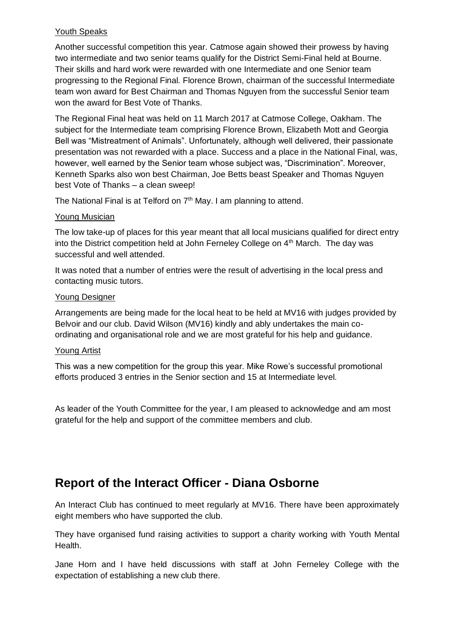#### Youth Speaks

Another successful competition this year. Catmose again showed their prowess by having two intermediate and two senior teams qualify for the District Semi-Final held at Bourne. Their skills and hard work were rewarded with one Intermediate and one Senior team progressing to the Regional Final. Florence Brown, chairman of the successful Intermediate team won award for Best Chairman and Thomas Nguyen from the successful Senior team won the award for Best Vote of Thanks.

The Regional Final heat was held on 11 March 2017 at Catmose College, Oakham. The subject for the Intermediate team comprising Florence Brown, Elizabeth Mott and Georgia Bell was "Mistreatment of Animals". Unfortunately, although well delivered, their passionate presentation was not rewarded with a place. Success and a place in the National Final, was, however, well earned by the Senior team whose subject was, "Discrimination". Moreover, Kenneth Sparks also won best Chairman, Joe Betts beast Speaker and Thomas Nguyen best Vote of Thanks – a clean sweep!

The National Final is at Telford on 7<sup>th</sup> May. I am planning to attend.

#### Young Musician

The low take-up of places for this year meant that all local musicians qualified for direct entry into the District competition held at John Ferneley College on 4<sup>th</sup> March. The day was successful and well attended.

It was noted that a number of entries were the result of advertising in the local press and contacting music tutors.

#### Young Designer

Arrangements are being made for the local heat to be held at MV16 with judges provided by Belvoir and our club. David Wilson (MV16) kindly and ably undertakes the main coordinating and organisational role and we are most grateful for his help and guidance.

#### Young Artist

This was a new competition for the group this year. Mike Rowe's successful promotional efforts produced 3 entries in the Senior section and 15 at Intermediate level.

As leader of the Youth Committee for the year, I am pleased to acknowledge and am most grateful for the help and support of the committee members and club.

# **Report of the Interact Officer - Diana Osborne**

An Interact Club has continued to meet regularly at MV16. There have been approximately eight members who have supported the club.

They have organised fund raising activities to support a charity working with Youth Mental Health.

Jane Horn and I have held discussions with staff at John Ferneley College with the expectation of establishing a new club there.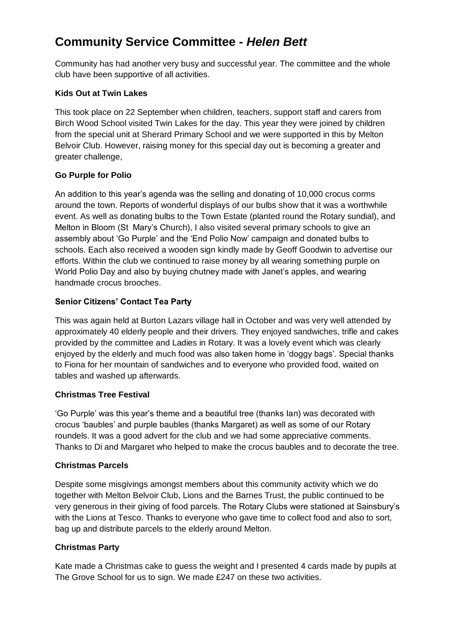# **Community Service Committee -** *Helen Bett*

Community has had another very busy and successful year. The committee and the whole club have been supportive of all activities.

### **Kids Out at Twin Lakes**

This took place on 22 September when children, teachers, support staff and carers from Birch Wood School visited Twin Lakes for the day. This year they were joined by children from the special unit at Sherard Primary School and we were supported in this by Melton Belvoir Club. However, raising money for this special day out is becoming a greater and greater challenge,

### **Go Purple for Polio**

An addition to this year's agenda was the selling and donating of 10,000 crocus corms around the town. Reports of wonderful displays of our bulbs show that it was a worthwhile event. As well as donating bulbs to the Town Estate (planted round the Rotary sundial), and Melton in Bloom (St Mary's Church), I also visited several primary schools to give an assembly about 'Go Purple' and the 'End Polio Now' campaign and donated bulbs to schools. Each also received a wooden sign kindly made by Geoff Goodwin to advertise our efforts. Within the club we continued to raise money by all wearing something purple on World Polio Day and also by buying chutney made with Janet's apples, and wearing handmade crocus brooches.

### **Senior Citizens' Contact Tea Party**

This was again held at Burton Lazars village hall in October and was very well attended by approximately 40 elderly people and their drivers. They enjoyed sandwiches, trifle and cakes provided by the committee and Ladies in Rotary. It was a lovely event which was clearly enjoyed by the elderly and much food was also taken home in 'doggy bags'. Special thanks to Fiona for her mountain of sandwiches and to everyone who provided food, waited on tables and washed up afterwards.

## **Christmas Tree Festival**

'Go Purple' was this year's theme and a beautiful tree (thanks Ian) was decorated with crocus 'baubles' and purple baubles (thanks Margaret) as well as some of our Rotary roundels. It was a good advert for the club and we had some appreciative comments. Thanks to Di and Margaret who helped to make the crocus baubles and to decorate the tree.

#### **Christmas Parcels**

Despite some misgivings amongst members about this community activity which we do together with Melton Belvoir Club, Lions and the Barnes Trust, the public continued to be very generous in their giving of food parcels. The Rotary Clubs were stationed at Sainsbury's with the Lions at Tesco. Thanks to everyone who gave time to collect food and also to sort, bag up and distribute parcels to the elderly around Melton.

#### **Christmas Party**

Kate made a Christmas cake to guess the weight and I presented 4 cards made by pupils at The Grove School for us to sign. We made £247 on these two activities.